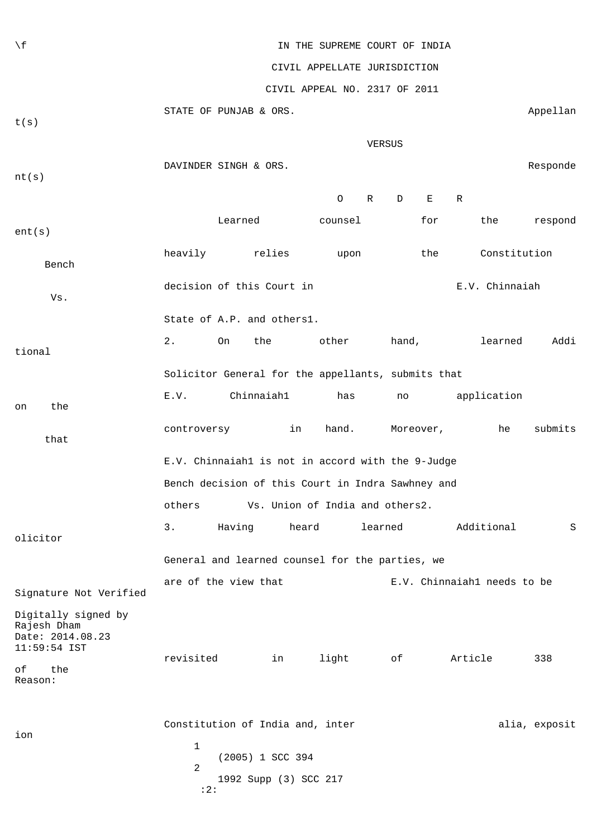| $\setminus f$                                                                                  | IN THE SUPREME COURT OF INDIA                       |                                                                               |    |          |             |                              |         |                             |               |  |
|------------------------------------------------------------------------------------------------|-----------------------------------------------------|-------------------------------------------------------------------------------|----|----------|-------------|------------------------------|---------|-----------------------------|---------------|--|
|                                                                                                | CIVIL APPELLATE JURISDICTION                        |                                                                               |    |          |             |                              |         |                             |               |  |
|                                                                                                | CIVIL APPEAL NO. 2317 OF 2011                       |                                                                               |    |          |             |                              |         |                             |               |  |
| t(s)                                                                                           |                                                     | STATE OF PUNJAB & ORS.                                                        |    |          |             |                              |         |                             | Appellan      |  |
|                                                                                                | VERSUS                                              |                                                                               |    |          |             |                              |         |                             |               |  |
|                                                                                                | DAVINDER SINGH & ORS.                               |                                                                               |    |          |             |                              |         |                             |               |  |
| nt(s)                                                                                          |                                                     |                                                                               |    |          |             |                              |         |                             | Responde      |  |
|                                                                                                |                                                     |                                                                               |    | O        | $\mathbb R$ | $\mathbf{E}$<br>$\mathbf{D}$ | R       |                             |               |  |
| ent(s)                                                                                         |                                                     | Learned                                                                       |    | counsel  |             | for                          |         | the                         | respond       |  |
| Bench                                                                                          | heavily                                             | relies                                                                        |    | upon     |             | the                          |         | Constitution                |               |  |
| Vs.                                                                                            | decision of this Court in<br>E.V. Chinnaiah         |                                                                               |    |          |             |                              |         |                             |               |  |
|                                                                                                |                                                     | State of A.P. and others1.                                                    |    |          |             |                              |         |                             |               |  |
| tional                                                                                         | $2$ .                                               | On<br>the                                                                     |    | other    |             | hand,                        |         | learned                     | Addi          |  |
|                                                                                                |                                                     | Solicitor General for the appellants, submits that                            |    |          |             |                              |         |                             |               |  |
| the<br>on                                                                                      | E.V.                                                | Chinnaiah1                                                                    |    | has      |             | no                           |         | application                 |               |  |
| that                                                                                           | controversy                                         |                                                                               | in | hand.    |             | Moreover,                    |         | he                          | submits       |  |
|                                                                                                | E.V. Chinnaiahl is not in accord with the 9-Judge   |                                                                               |    |          |             |                              |         |                             |               |  |
|                                                                                                | Bench decision of this Court in Indra Sawhney and   |                                                                               |    |          |             |                              |         |                             |               |  |
|                                                                                                | others<br>Vs. Union of India and others2.           |                                                                               |    |          |             |                              |         |                             |               |  |
| olicitor                                                                                       | 3.<br>heard<br>learned<br>Additional<br>Having<br>S |                                                                               |    |          |             |                              |         |                             |               |  |
|                                                                                                | General and learned counsel for the parties, we     |                                                                               |    |          |             |                              |         |                             |               |  |
| Signature Not Verified                                                                         |                                                     | are of the view that                                                          |    |          |             |                              |         | E.V. Chinnaiahl needs to be |               |  |
| Digitally signed by<br>Rajesh Dham<br>Date: 2014.08.23<br>11:59:54 IST<br>the<br>оf<br>Reason: | revisited                                           |                                                                               | in | light of |             |                              | Article |                             | 338           |  |
| ion                                                                                            | 1<br>2<br>:2:                                       | Constitution of India and, inter<br>(2005) 1 SCC 394<br>1992 Supp (3) SCC 217 |    |          |             |                              |         |                             | alia, exposit |  |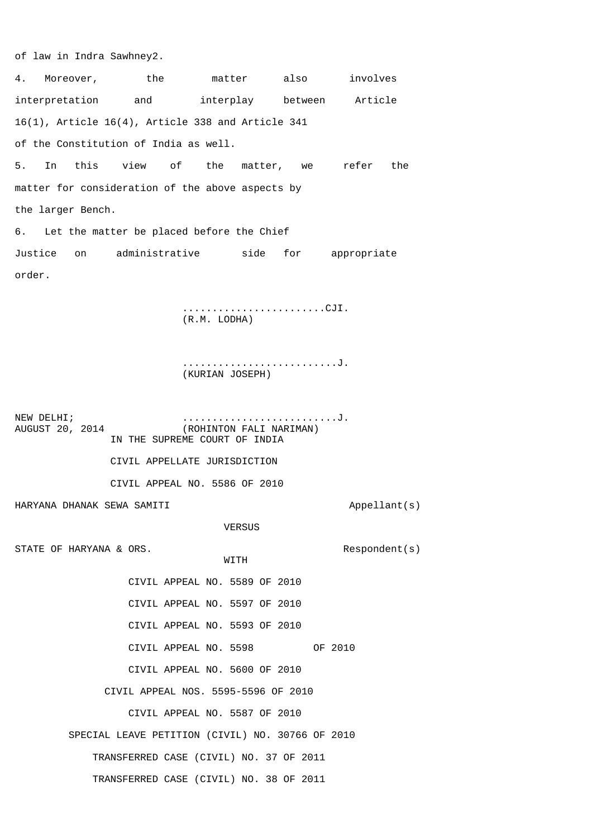of law in Indra Sawhney2.

4. Moreover, the matter also involves interpretation and interplay between Article 16(1), Article 16(4), Article 338 and Article 341 of the Constitution of India as well. 5. In this view of the matter, we refer the matter for consideration of the above aspects by the larger Bench. 6. Let the matter be placed before the Chief Justice on administrative side for appropriate order. ........................CJI. (R.M. LODHA) ..........................J. (KURIAN JOSEPH) NEW DELHI;<br>AUGUST 20, 2014 (ROHINTON FALI NARIMAN) (ROHINTON FALI NARIMAN) IN THE SUPREME COURT OF INDIA CIVIL APPELLATE JURISDICTION CIVIL APPEAL NO. 5586 OF 2010 HARYANA DHANAK SEWA SAMITI APPELLANT (s) VERSUS STATE OF HARYANA & ORS.<br>
WITH Respondent(s) WITH WITH CIVIL APPEAL NO. 5589 OF 2010 CIVIL APPEAL NO. 5597 OF 2010 CIVIL APPEAL NO. 5593 OF 2010 CIVIL APPEAL NO. 5598 OF 2010 CIVIL APPEAL NO. 5600 OF 2010 CIVIL APPEAL NOS. 5595-5596 OF 2010 CIVIL APPEAL NO. 5587 OF 2010 SPECIAL LEAVE PETITION (CIVIL) NO. 30766 OF 2010 TRANSFERRED CASE (CIVIL) NO. 37 OF 2011

TRANSFERRED CASE (CIVIL) NO. 38 OF 2011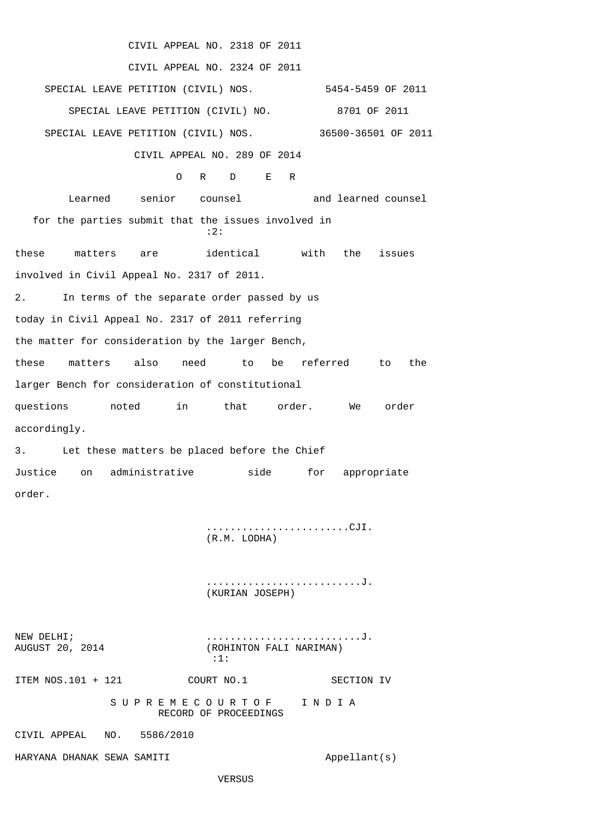CIVIL APPEAL NO. 2318 OF 2011 CIVIL APPEAL NO. 2324 OF 2011 SPECIAL LEAVE PETITION (CIVIL) NOS. 5454-5459 OF 2011 SPECIAL LEAVE PETITION (CIVIL) NO. 8701 OF 2011 SPECIAL LEAVE PETITION (CIVIL) NOS. 36500-36501 OF 2011 CIVIL APPEAL NO. 289 OF 2014 O R D E R Learned senior counsel and learned counsel for the parties submit that the issues involved in :2: these matters are identical with the issues involved in Civil Appeal No. 2317 of 2011. 2. In terms of the separate order passed by us today in Civil Appeal No. 2317 of 2011 referring the matter for consideration by the larger Bench, these matters also need to be referred to the larger Bench for consideration of constitutional questions noted in that order. We order accordingly. 3. Let these matters be placed before the Chief Justice on administrative side for appropriate order.

> ........................CJI. (R.M. LODHA)

> ..........................J. (KURIAN JOSEPH)

NEW DELHI;<br>AUGUST 20, 2014 (ROHINTON FALI NARIMAN) (ROHINTON FALI NARIMAN) :1: ITEM NOS.101 + 121 COURT NO.1 SECTION IV S U P R E M E C O U R T O F I N D I A RECORD OF PROCEEDINGS CIVIL APPEAL NO. 5586/2010 HARYANA DHANAK SEWA SAMITI APPELLANT (s)

VERSUS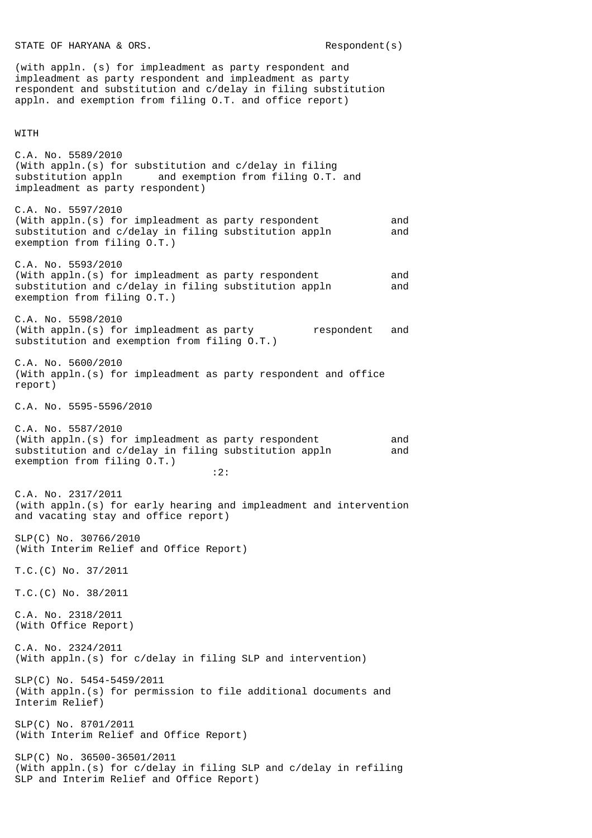STATE OF HARYANA & ORS. The second second second second second second second second second second second second second second second second second second second second second second second second second second second secon

(with appln. (s) for impleadment as party respondent and impleadment as party respondent and impleadment as party respondent and substitution and c/delay in filing substitution appln. and exemption from filing O.T. and office report)

## WITH

C.A. No. 5589/2010 (With appln.(s) for substitution and c/delay in filing substitution appln and exemption from filing O.T. and impleadment as party respondent)

- C.A. No. 5597/2010 (With appln.(s) for impleadment as party respondent and substitution and c/delay in filing substitution appln and exemption from filing O.T.)
- C.A. No. 5593/2010 (With appln.(s) for impleadment as party respondent and substitution and c/delay in filing substitution appln and exemption from filing O.T.)
- C.A. No. 5598/2010 (With appln.(s) for impleadment as party respondent and substitution and exemption from filing O.T.)
- C.A. No. 5600/2010 (With appln.(s) for impleadment as party respondent and office report)
- C.A. No. 5595-5596/2010
- C.A. No. 5587/2010 (With appln.(s) for impleadment as party respondent and substitution and c/delay in filing substitution appln and exemption from filing O.T.) :2:
- C.A. No. 2317/2011 (with appln.(s) for early hearing and impleadment and intervention and vacating stay and office report)
- SLP(C) No. 30766/2010 (With Interim Relief and Office Report)
- T.C.(C) No. 37/2011
- T.C.(C) No. 38/2011
- C.A. No. 2318/2011 (With Office Report)
- C.A. No. 2324/2011 (With appln.(s) for c/delay in filing SLP and intervention)
- SLP(C) No. 5454-5459/2011 (With appln.(s) for permission to file additional documents and Interim Relief)
- SLP(C) No. 8701/2011 (With Interim Relief and Office Report)
- SLP(C) No. 36500-36501/2011 (With appln.(s) for c/delay in filing SLP and c/delay in refiling SLP and Interim Relief and Office Report)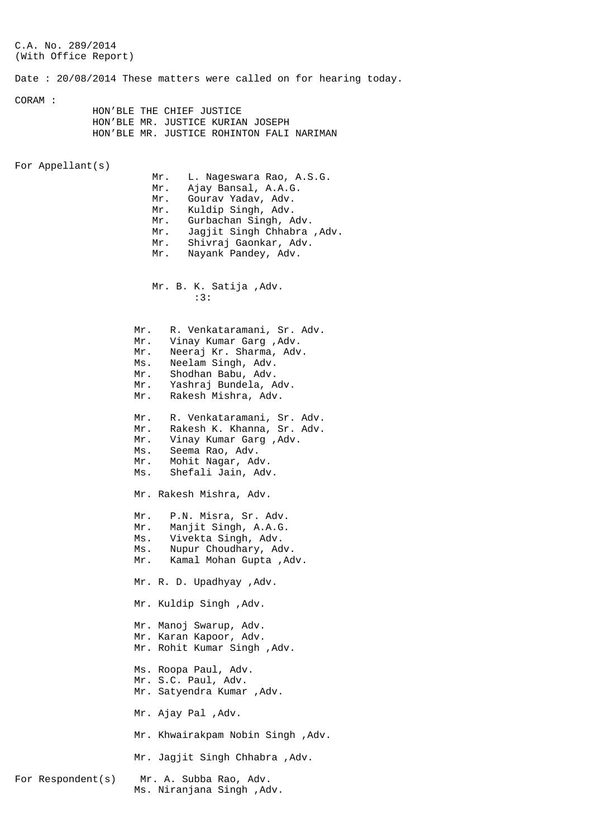C.A. No. 289/2014 (With Office Report) Date : 20/08/2014 These matters were called on for hearing today. CORAM : HON'BLE THE CHIEF JUSTICE HON'BLE MR. JUSTICE KURIAN JOSEPH HON'BLE MR. JUSTICE ROHINTON FALI NARIMAN For Appellant(s) Mr. L. Nageswara Rao, A.S.G. Mr. Ajay Bansal, A.A.G. Mr. Gourav Yadav, Adv. Mr. Kuldip Singh, Adv. Mr. Gurbachan Singh, Adv. Mr. Jagjit Singh Chhabra ,Adv. Mr. Shivraj Gaonkar, Adv. Mr. Nayank Pandey, Adv. Mr. B. K. Satija ,Adv. :3: Mr. R. Venkataramani, Sr. Adv.<br>Mr. Vinay Kumar Garg, Adv. Vinay Kumar Garg , Adv. Mr. Neeraj Kr. Sharma, Adv. Ms. Neelam Singh, Adv. Mr. Shodhan Babu, Adv. Mr. Yashraj Bundela, Adv. Mr. Rakesh Mishra, Adv. Mr. R. Venkataramani, Sr. Adv. Mr. Rakesh K. Khanna, Sr. Adv. Mr. Vinay Kumar Garg ,Adv. Ms. Seema Rao, Adv. Mr. Mohit Nagar, Adv. Ms. Shefali Jain, Adv. Mr. Rakesh Mishra, Adv. Mr. P.N. Misra, Sr. Adv. Mr. Manjit Singh, A.A.G. Ms. Vivekta Singh, Adv. Ms. Nupur Choudhary, Adv. Mr. Kamal Mohan Gupta ,Adv. Mr. R. D. Upadhyay ,Adv. Mr. Kuldip Singh ,Adv. Mr. Manoj Swarup, Adv. Mr. Karan Kapoor, Adv. Mr. Rohit Kumar Singh ,Adv. Ms. Roopa Paul, Adv. Mr. S.C. Paul, Adv. Mr. Satyendra Kumar ,Adv. Mr. Ajay Pal ,Adv. Mr. Khwairakpam Nobin Singh ,Adv. Mr. Jagjit Singh Chhabra ,Adv. For Respondent(s) Mr. A. Subba Rao, Adv. Ms. Niranjana Singh ,Adv.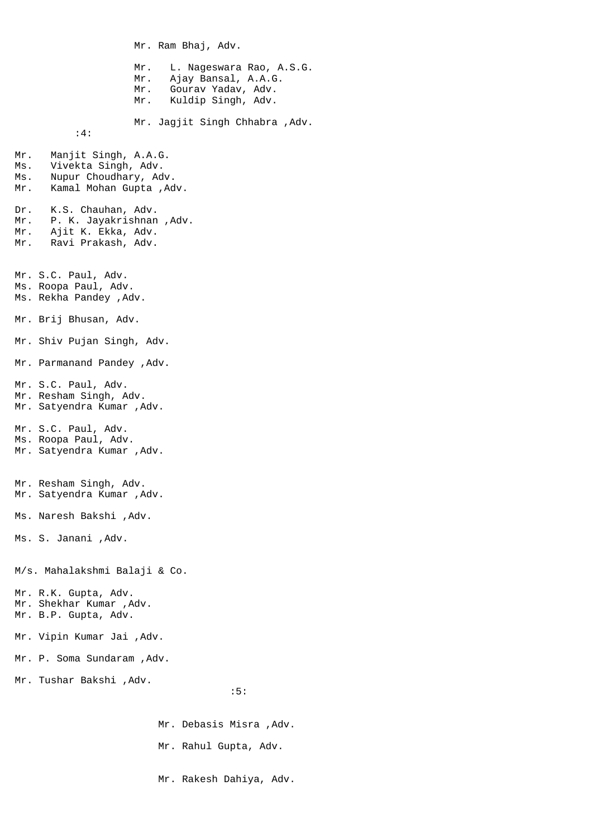Mr. Ram Bhaj, Adv. Mr. L. Nageswara Rao, A.S.G. Mr. Ajay Bansal, A.A.G. Mr. Gourav Yadav, Adv. Mr. Kuldip Singh, Adv. Mr. Jagjit Singh Chhabra ,Adv. :4: Mr. Manjit Singh, A.A.G. Ms. Vivekta Singh, Adv. Ms. Nupur Choudhary, Adv. Mr. Kamal Mohan Gupta ,Adv. Dr. K.S. Chauhan, Adv. Mr. P. K. Jayakrishnan ,Adv. Mr. Ajit K. Ekka, Adv. Mr. Ravi Prakash, Adv. Mr. S.C. Paul, Adv. Ms. Roopa Paul, Adv. Ms. Rekha Pandey ,Adv. Mr. Brij Bhusan, Adv. Mr. Shiv Pujan Singh, Adv. Mr. Parmanand Pandey ,Adv. Mr. S.C. Paul, Adv. Mr. Resham Singh, Adv. Mr. Satyendra Kumar ,Adv. Mr. S.C. Paul, Adv. Ms. Roopa Paul, Adv. Mr. Satyendra Kumar ,Adv. Mr. Resham Singh, Adv. Mr. Satyendra Kumar ,Adv. Ms. Naresh Bakshi ,Adv. Ms. S. Janani ,Adv. M/s. Mahalakshmi Balaji & Co. Mr. R.K. Gupta, Adv. Mr. Shekhar Kumar ,Adv. Mr. B.P. Gupta, Adv. Mr. Vipin Kumar Jai ,Adv. Mr. P. Soma Sundaram ,Adv. Mr. Tushar Bakshi ,Adv. :5:

 Mr. Debasis Misra ,Adv. Mr. Rahul Gupta, Adv. Mr. Rakesh Dahiya, Adv.